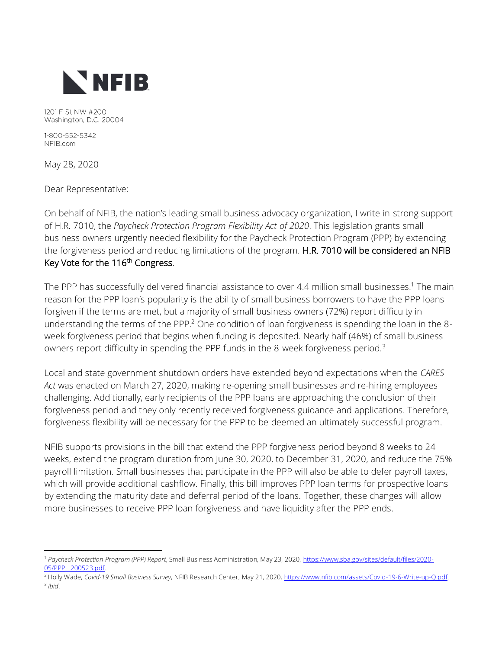

1201 F St NW #200 Washington, D.C. 20004

1-800-552-5342 NFIB.com

May 28, 2020

Dear Representative:

On behalf of NFIB, the nation's leading small business advocacy organization, I write in strong support of H.R. 7010, the *Paycheck Protection Program Flexibility Act of 2020*. This legislation grants small business owners urgently needed flexibility for the Paycheck Protection Program (PPP) by extending the forgiveness period and reducing limitations of the program. H.R. 7010 will be considered an NFIB Key Vote for the 116<sup>th</sup> Congress.

The PPP has successfully delivered financial assistance to over 4.4 million small businesses.<sup>1</sup> The main reason for the PPP loan's popularity is the ability of small business borrowers to have the PPP loans forgiven if the terms are met, but a majority of small business owners (72%) report difficulty in understanding the terms of the PPP.<sup>2</sup> One condition of loan forgiveness is spending the loan in the 8week forgiveness period that begins when funding is deposited. Nearly half (46%) of small business owners report difficulty in spending the PPP funds in the 8-week forgiveness period.<sup>3</sup>

Local and state government shutdown orders have extended beyond expectations when the *CARES Act* was enacted on March 27, 2020, making re-opening small businesses and re-hiring employees challenging. Additionally, early recipients of the PPP loans are approaching the conclusion of their forgiveness period and they only recently received forgiveness guidance and applications. Therefore, forgiveness flexibility will be necessary for the PPP to be deemed an ultimately successful program.

NFIB supports provisions in the bill that extend the PPP forgiveness period beyond 8 weeks to 24 weeks, extend the program duration from June 30, 2020, to December 31, 2020, and reduce the 75% payroll limitation. Small businesses that participate in the PPP will also be able to defer payroll taxes, which will provide additional cashflow. Finally, this bill improves PPP loan terms for prospective loans by extending the maturity date and deferral period of the loans. Together, these changes will allow more businesses to receive PPP loan forgiveness and have liquidity after the PPP ends.

<sup>1</sup> *Paycheck Protection Program (PPP) Report*, Small Business Administration, May 23, 2020, [https://www.sba.gov/sites/default/files/2020-](https://www.sba.gov/sites/default/files/2020-05/PPP__200523.pdf) [05/PPP\\_\\_200523.pdf.](https://www.sba.gov/sites/default/files/2020-05/PPP__200523.pdf)

<sup>2</sup> Holly Wade, *Covid-19 Small Business Survey*, NFIB Research Center, May 21, 2020, [https://www.nfib.com/assets/Covid-19-6-Write-up-Q.pdf.](https://www.nfib.com/assets/Covid-19-6-Write-up-Q.pdf) 3 *Ibid*.